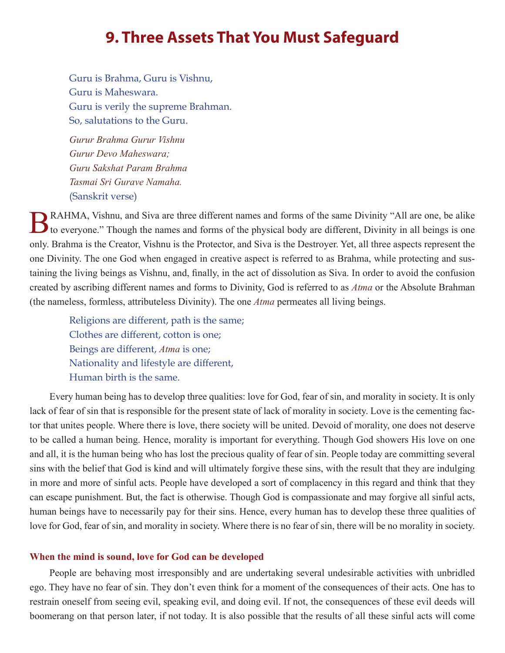# **9. Three Assets That You Must Safeguard**

Guru is Brahma, Guru is Vishnu, Guru is Maheswara. Guru is verily the supreme Brahman. So, salutations to the Guru.

*Gurur Brahma Gurur Vishnu Gurur Devo Maheswara; Guru Sakshat Param Brahma Tasmai Sri Gurave Namaha.* (Sanskrit verse)

BRAHMA, Vishnu, and Siva are three different names and forms of the same Divinity "All are one, be alike to everyone." Though the names and forms of the physical body are different, Divinity in all beings is one only. Brahma is the Creator, Vishnu is the Protector, and Siva is the Destroyer. Yet, all three aspects represent the one Divinity. The one God when engaged in creative aspect is referred to as Brahma, while protecting and sustaining the living beings as Vishnu, and, finally, in the act of dissolution as Siva. In order to avoid the confusion created by ascribing different names and forms to Divinity, God is referred to as *Atma* or the Absolute Brahman (the nameless, formless, attributeless Divinity). The one *Atma* permeates all living beings.

Religions are different, path is the same; Clothes are different, cotton is one; Beings are different, *Atma* is one; Nationality and lifestyle are different, Human birth is the same.

Every human being has to develop three qualities: love for God, fear of sin, and morality in society. It is only lack of fear of sin that is responsible for the present state of lack of morality in society. Love is the cementing factor that unites people. Where there is love, there society will be united. Devoid of morality, one does not deserve to be called a human being. Hence, morality is important for everything. Though God showers His love on one and all, it is the human being who has lost the precious quality of fear of sin. People today are committing several sins with the belief that God is kind and will ultimately forgive these sins, with the result that they are indulging in more and more of sinful acts. People have developed a sort of complacency in this regard and think that they can escape punishment. But, the fact is otherwise. Though God is compassionate and may forgive all sinful acts, human beings have to necessarily pay for their sins. Hence, every human has to develop these three qualities of love for God, fear of sin, and morality in society. Where there is no fear of sin, there will be no morality in society.

# **When the mind is sound, love for God can be developed**

People are behaving most irresponsibly and are undertaking several undesirable activities with unbridled ego. They have no fear of sin. They don't even think for a moment of the consequences of their acts. One has to restrain oneself from seeing evil, speaking evil, and doing evil. If not, the consequences of these evil deeds will boomerang on that person later, if not today. It is also possible that the results of all these sinful acts will come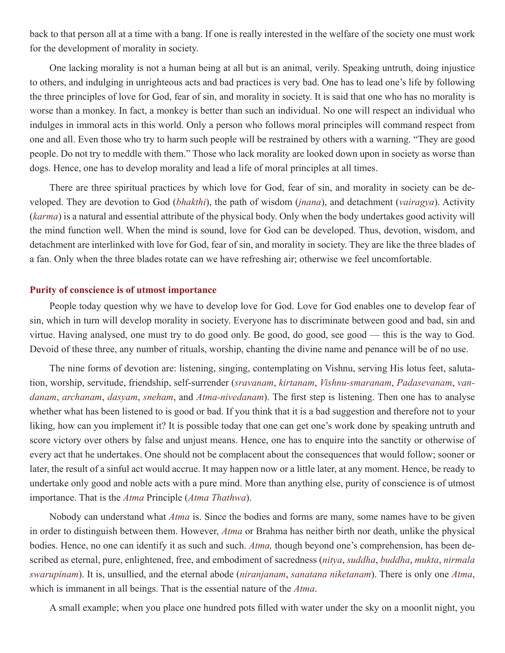back to that person all at a time with a bang. If one is really interested in the welfare of the society one must work for the development of morality in society.

One lacking morality is not a human being at all but is an animal, verily. Speaking untruth, doing injustice to others, and indulging in unrighteous acts and bad practices is very bad. One has to lead one's life by following the three principles of love for God, fear of sin, and morality in society. It is said that one who has no morality is worse than a monkey. In fact, a monkey is better than such an individual. No one will respect an individual who indulges in immoral acts in this world. Only a person who follows moral principles will command respect from one and all. Even those who try to harm such people will be restrained by others with a warning. "They are good people. Do not try to meddle with them." Those who lack morality are looked down upon in society as worse than dogs. Hence, one has to develop morality and lead a life of moral principles at all times.

There are three spiritual practices by which love for God, fear of sin, and morality in society can be developed. They are devotion to God (*bhakthi*), the path of wisdom (*jnana*), and detachment (*vairagya*). Activity (*karma*) is a natural and essential attribute of the physical body. Only when the body undertakes good activity will the mind function well. When the mind is sound, love for God can be developed. Thus, devotion, wisdom, and detachment are interlinked with love for God, fear of sin, and morality in society. They are like the three blades of a fan. Only when the three blades rotate can we have refreshing air; otherwise we feel uncomfortable.

# **Purity of conscience is of utmost importance**

People today question why we have to develop love for God. Love for God enables one to develop fear of sin, which in turn will develop morality in society. Everyone has to discriminate between good and bad, sin and virtue. Having analysed, one must try to do good only. Be good, do good, see good — this is the way to God. Devoid of these three, any number of rituals, worship, chanting the divine name and penance will be of no use.

The nine forms of devotion are: listening, singing, contemplating on Vishnu, serving His lotus feet, salutation, worship, servitude, friendship, self-surrender (*sravanam*, *kirtanam*, *Vishnu-smaranam*, *Padasevanam*, *vandanam*, *archanam*, *dasyam*, *sneham*, and *Atma-nivedanam*). The first step is listening. Then one has to analyse whether what has been listened to is good or bad. If you think that it is a bad suggestion and therefore not to your liking, how can you implement it? It is possible today that one can get one's work done by speaking untruth and score victory over others by false and unjust means. Hence, one has to enquire into the sanctity or otherwise of every act that he undertakes. One should not be complacent about the consequences that would follow; sooner or later, the result of a sinful act would accrue. It may happen now or a little later, at any moment. Hence, be ready to undertake only good and noble acts with a pure mind. More than anything else, purity of conscience is of utmost importance. That is the *Atma* Principle (*Atma Thathwa*).

Nobody can understand what *Atma* is. Since the bodies and forms are many, some names have to be given in order to distinguish between them. However, *Atma* or Brahma has neither birth nor death, unlike the physical bodies. Hence, no one can identify it as such and such. *Atma,* though beyond one's comprehension, has been described as eternal, pure, enlightened, free, and embodiment of sacredness (*nitya*, *suddha*, *buddha*, *mukta*, *nirmala swarupinam*). It is, unsullied, and the eternal abode (*niranjanam*, *sanatana niketanam*). There is only one *Atma*, which is immanent in all beings. That is the essential nature of the *Atma*.

A small example; when you place one hundred pots filled with water under the sky on a moonlit night, you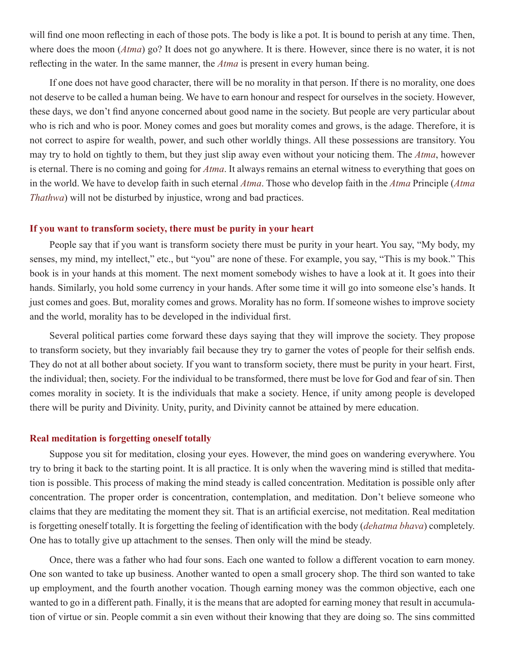will find one moon reflecting in each of those pots. The body is like a pot. It is bound to perish at any time. Then, where does the moon (*Atma*) go? It does not go anywhere. It is there. However, since there is no water, it is not reflecting in the water. In the same manner, the *Atma* is present in every human being.

If one does not have good character, there will be no morality in that person. If there is no morality, one does not deserve to be called a human being. We have to earn honour and respect for ourselves in the society. However, these days, we don't find anyone concerned about good name in the society. But people are very particular about who is rich and who is poor. Money comes and goes but morality comes and grows, is the adage. Therefore, it is not correct to aspire for wealth, power, and such other worldly things. All these possessions are transitory. You may try to hold on tightly to them, but they just slip away even without your noticing them. The *Atma*, however is eternal. There is no coming and going for *Atma*. It always remains an eternal witness to everything that goes on in the world. We have to develop faith in such eternal *Atma*. Those who develop faith in the *Atma* Principle (*Atma Thathwa*) will not be disturbed by injustice, wrong and bad practices.

## **If you want to transform society, there must be purity in your heart**

People say that if you want is transform society there must be purity in your heart. You say, "My body, my senses, my mind, my intellect," etc., but "you" are none of these. For example, you say, "This is my book." This book is in your hands at this moment. The next moment somebody wishes to have a look at it. It goes into their hands. Similarly, you hold some currency in your hands. After some time it will go into someone else's hands. It just comes and goes. But, morality comes and grows. Morality has no form. If someone wishes to improve society and the world, morality has to be developed in the individual first.

Several political parties come forward these days saying that they will improve the society. They propose to transform society, but they invariably fail because they try to garner the votes of people for their selfish ends. They do not at all bother about society. If you want to transform society, there must be purity in your heart. First, the individual; then, society. For the individual to be transformed, there must be love for God and fear of sin. Then comes morality in society. It is the individuals that make a society. Hence, if unity among people is developed there will be purity and Divinity. Unity, purity, and Divinity cannot be attained by mere education.

#### **Real meditation is forgetting oneself totally**

Suppose you sit for meditation, closing your eyes. However, the mind goes on wandering everywhere. You try to bring it back to the starting point. It is all practice. It is only when the wavering mind is stilled that meditation is possible. This process of making the mind steady is called concentration. Meditation is possible only after concentration. The proper order is concentration, contemplation, and meditation. Don't believe someone who claims that they are meditating the moment they sit. That is an artificial exercise, not meditation. Real meditation is forgetting oneself totally. It is forgetting the feeling of identification with the body (*dehatma bhava*) completely. One has to totally give up attachment to the senses. Then only will the mind be steady.

Once, there was a father who had four sons. Each one wanted to follow a different vocation to earn money. One son wanted to take up business. Another wanted to open a small grocery shop. The third son wanted to take up employment, and the fourth another vocation. Though earning money was the common objective, each one wanted to go in a different path. Finally, it is the means that are adopted for earning money that result in accumulation of virtue or sin. People commit a sin even without their knowing that they are doing so. The sins committed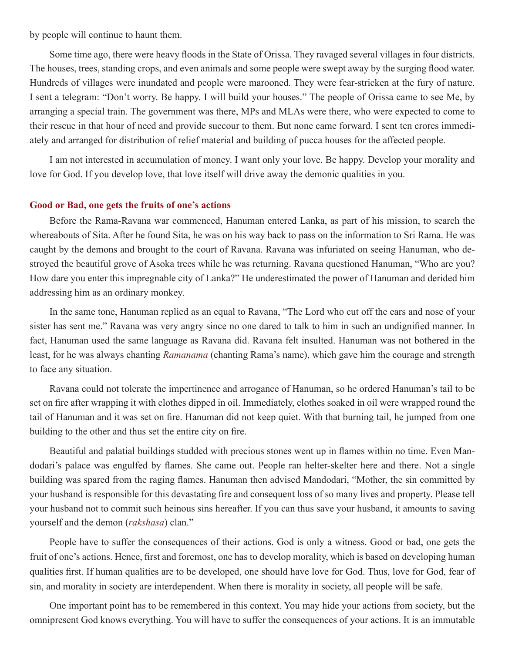by people will continue to haunt them.

Some time ago, there were heavy floods in the State of Orissa. They ravaged several villages in four districts. The houses, trees, standing crops, and even animals and some people were swept away by the surging flood water. Hundreds of villages were inundated and people were marooned. They were fear-stricken at the fury of nature. I sent a telegram: "Don't worry. Be happy. I will build your houses." The people of Orissa came to see Me, by arranging a special train. The government was there, MPs and MLAs were there, who were expected to come to their rescue in that hour of need and provide succour to them. But none came forward. I sent ten crores immediately and arranged for distribution of relief material and building of pucca houses for the affected people.

I am not interested in accumulation of money. I want only your love. Be happy. Develop your morality and love for God. If you develop love, that love itself will drive away the demonic qualities in you.

## **Good or Bad, one gets the fruits of one's actions**

Before the Rama-Ravana war commenced, Hanuman entered Lanka, as part of his mission, to search the whereabouts of Sita. After he found Sita, he was on his way back to pass on the information to Sri Rama. He was caught by the demons and brought to the court of Ravana. Ravana was infuriated on seeing Hanuman, who destroyed the beautiful grove of Asoka trees while he was returning. Ravana questioned Hanuman, "Who are you? How dare you enter this impregnable city of Lanka?" He underestimated the power of Hanuman and derided him addressing him as an ordinary monkey.

In the same tone, Hanuman replied as an equal to Ravana, "The Lord who cut off the ears and nose of your sister has sent me." Ravana was very angry since no one dared to talk to him in such an undignified manner. In fact, Hanuman used the same language as Ravana did. Ravana felt insulted. Hanuman was not bothered in the least, for he was always chanting *Ramanama* (chanting Rama's name), which gave him the courage and strength to face any situation.

Ravana could not tolerate the impertinence and arrogance of Hanuman, so he ordered Hanuman's tail to be set on fire after wrapping it with clothes dipped in oil. Immediately, clothes soaked in oil were wrapped round the tail of Hanuman and it was set on fire. Hanuman did not keep quiet. With that burning tail, he jumped from one building to the other and thus set the entire city on fire.

Beautiful and palatial buildings studded with precious stones went up in flames within no time. Even Mandodari's palace was engulfed by flames. She came out. People ran helter-skelter here and there. Not a single building was spared from the raging flames. Hanuman then advised Mandodari, "Mother, the sin committed by your husband is responsible for this devastating fire and consequent loss of so many lives and property. Please tell your husband not to commit such heinous sins hereafter. If you can thus save your husband, it amounts to saving yourself and the demon (*rakshasa*) clan."

People have to suffer the consequences of their actions. God is only a witness. Good or bad, one gets the fruit of one's actions. Hence, first and foremost, one has to develop morality, which is based on developing human qualities first. If human qualities are to be developed, one should have love for God. Thus, love for God, fear of sin, and morality in society are interdependent. When there is morality in society, all people will be safe.

One important point has to be remembered in this context. You may hide your actions from society, but the omnipresent God knows everything. You will have to suffer the consequences of your actions. It is an immutable